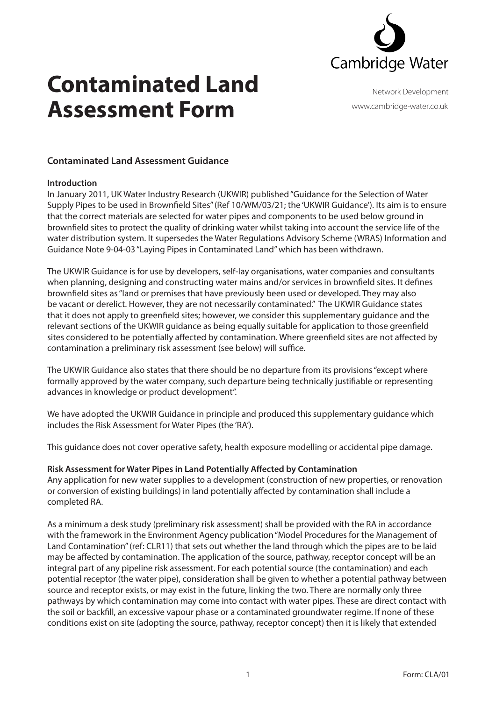

### **Contaminated Land Assessment Form**

Network Development www.cambridge-water.co.uk

#### **Contaminated Land Assessment Guidance**

#### **Introduction**

In January 2011, UK Water Industry Research (UKWIR) published "Guidance for the Selection of Water Supply Pipes to be used in Brownfield Sites" (Ref 10/WM/03/21; the 'UKWIR Guidance'). Its aim is to ensure that the correct materials are selected for water pipes and components to be used below ground in brownfield sites to protect the quality of drinking water whilst taking into account the service life of the water distribution system. It supersedes the Water Regulations Advisory Scheme (WRAS) Information and Guidance Note 9-04-03 "Laying Pipes in Contaminated Land" which has been withdrawn.

The UKWIR Guidance is for use by developers, self-lay organisations, water companies and consultants when planning, designing and constructing water mains and/or services in brownfield sites. It defines brownfield sites as "land or premises that have previously been used or developed. They may also be vacant or derelict. However, they are not necessarily contaminated." The UKWIR Guidance states that it does not apply to greenfield sites; however, we consider this supplementary guidance and the relevant sections of the UKWIR guidance as being equally suitable for application to those greenfield sites considered to be potentially affected by contamination. Where greenfield sites are not affected by contamination a preliminary risk assessment (see below) will suffice.

The UKWIR Guidance also states that there should be no departure from its provisions "except where formally approved by the water company, such departure being technically justifiable or representing advances in knowledge or product development".

We have adopted the UKWIR Guidance in principle and produced this supplementary guidance which includes the Risk Assessment for Water Pipes (the 'RA').

This guidance does not cover operative safety, health exposure modelling or accidental pipe damage.

#### **Risk Assessment for Water Pipes in Land Potentially Affected by Contamination**

Any application for new water supplies to a development (construction of new properties, or renovation or conversion of existing buildings) in land potentially affected by contamination shall include a completed RA.

As a minimum a desk study (preliminary risk assessment) shall be provided with the RA in accordance with the framework in the Environment Agency publication "Model Procedures for the Management of Land Contamination" (ref: CLR11) that sets out whether the land through which the pipes are to be laid may be affected by contamination. The application of the source, pathway, receptor concept will be an integral part of any pipeline risk assessment. For each potential source (the contamination) and each potential receptor (the water pipe), consideration shall be given to whether a potential pathway between source and receptor exists, or may exist in the future, linking the two. There are normally only three pathways by which contamination may come into contact with water pipes. These are direct contact with the soil or backfill, an excessive vapour phase or a contaminated groundwater regime. If none of these conditions exist on site (adopting the source, pathway, receptor concept) then it is likely that extended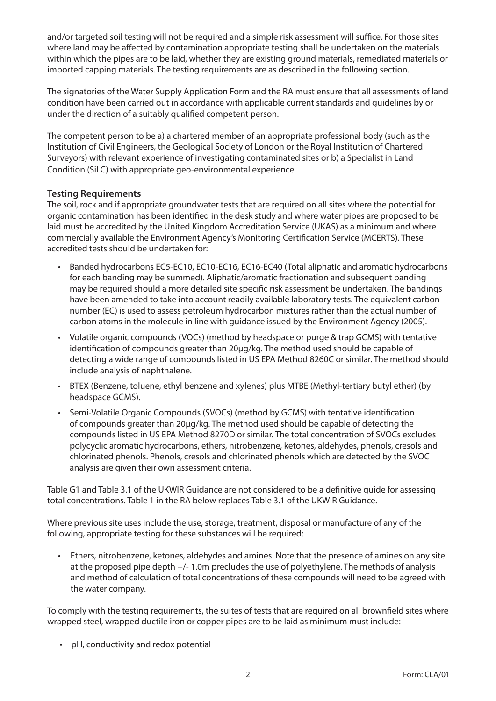and/or targeted soil testing will not be required and a simple risk assessment will suffice. For those sites where land may be affected by contamination appropriate testing shall be undertaken on the materials within which the pipes are to be laid, whether they are existing ground materials, remediated materials or imported capping materials. The testing requirements are as described in the following section.

The signatories of the Water Supply Application Form and the RA must ensure that all assessments of land condition have been carried out in accordance with applicable current standards and guidelines by or under the direction of a suitably qualified competent person.

The competent person to be a) a chartered member of an appropriate professional body (such as the Institution of Civil Engineers, the Geological Society of London or the Royal Institution of Chartered Surveyors) with relevant experience of investigating contaminated sites or b) a Specialist in Land Condition (SiLC) with appropriate geo-environmental experience.

#### **Testing Requirements**

The soil, rock and if appropriate groundwater tests that are required on all sites where the potential for organic contamination has been identified in the desk study and where water pipes are proposed to be laid must be accredited by the United Kingdom Accreditation Service (UKAS) as a minimum and where commercially available the Environment Agency's Monitoring Certification Service (MCERTS). These accredited tests should be undertaken for:

- • Banded hydrocarbons EC5-EC10, EC10-EC16, EC16-EC40 (Total aliphatic and aromatic hydrocarbons for each banding may be summed). Aliphatic/aromatic fractionation and subsequent banding may be required should a more detailed site specific risk assessment be undertaken. The bandings have been amended to take into account readily available laboratory tests. The equivalent carbon number (EC) is used to assess petroleum hydrocarbon mixtures rather than the actual number of carbon atoms in the molecule in line with guidance issued by the Environment Agency (2005).
- Volatile organic compounds (VOCs) (method by headspace or purge & trap GCMS) with tentative identification of compounds greater than 20μg/kg. The method used should be capable of detecting a wide range of compounds listed in US EPA Method 8260C or similar. The method should include analysis of naphthalene.
- • BTEX (Benzene, toluene, ethyl benzene and xylenes) plus MTBE (Methyl-tertiary butyl ether) (by headspace GCMS).
- Semi-Volatile Organic Compounds (SVOCs) (method by GCMS) with tentative identification of compounds greater than 20μg/kg. The method used should be capable of detecting the compounds listed in US EPA Method 8270D or similar. The total concentration of SVOCs excludes polycyclic aromatic hydrocarbons, ethers, nitrobenzene, ketones, aldehydes, phenols, cresols and chlorinated phenols. Phenols, cresols and chlorinated phenols which are detected by the SVOC analysis are given their own assessment criteria.

Table G1 and Table 3.1 of the UKWIR Guidance are not considered to be a definitive guide for assessing total concentrations. Table 1 in the RA below replaces Table 3.1 of the UKWIR Guidance.

Where previous site uses include the use, storage, treatment, disposal or manufacture of any of the following, appropriate testing for these substances will be required:

• Ethers, nitrobenzene, ketones, aldehydes and amines. Note that the presence of amines on any site at the proposed pipe depth +/- 1.0m precludes the use of polyethylene. The methods of analysis and method of calculation of total concentrations of these compounds will need to be agreed with the water company.

To comply with the testing requirements, the suites of tests that are required on all brownfield sites where wrapped steel, wrapped ductile iron or copper pipes are to be laid as minimum must include:

• pH, conductivity and redox potential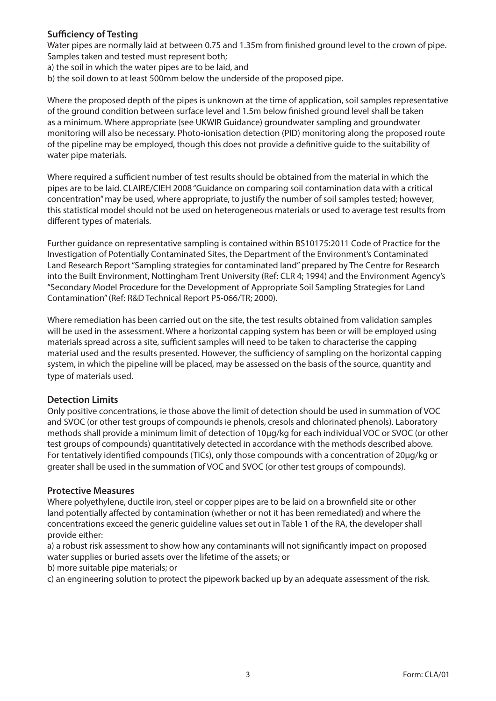#### **Sufficiency of Testing**

Water pipes are normally laid at between 0.75 and 1.35m from finished ground level to the crown of pipe. Samples taken and tested must represent both;

a) the soil in which the water pipes are to be laid, and

b) the soil down to at least 500mm below the underside of the proposed pipe.

Where the proposed depth of the pipes is unknown at the time of application, soil samples representative of the ground condition between surface level and 1.5m below finished ground level shall be taken as a minimum. Where appropriate (see UKWIR Guidance) groundwater sampling and groundwater monitoring will also be necessary. Photo-ionisation detection (PID) monitoring along the proposed route of the pipeline may be employed, though this does not provide a definitive guide to the suitability of water pipe materials.

Where required a sufficient number of test results should be obtained from the material in which the pipes are to be laid. CLAIRE/CIEH 2008 "Guidance on comparing soil contamination data with a critical concentration" may be used, where appropriate, to justify the number of soil samples tested; however, this statistical model should not be used on heterogeneous materials or used to average test results from different types of materials.

Further guidance on representative sampling is contained within BS10175:2011 Code of Practice for the Investigation of Potentially Contaminated Sites, the Department of the Environment's Contaminated Land Research Report "Sampling strategies for contaminated land" prepared by The Centre for Research into the Built Environment, Nottingham Trent University (Ref: CLR 4; 1994) and the Environment Agency's "Secondary Model Procedure for the Development of Appropriate Soil Sampling Strategies for Land Contamination"(Ref: R&D Technical Report P5-066/TR; 2000).

Where remediation has been carried out on the site, the test results obtained from validation samples will be used in the assessment. Where a horizontal capping system has been or will be employed using materials spread across a site, sufficient samples will need to be taken to characterise the capping material used and the results presented. However, the sufficiency of sampling on the horizontal capping system, in which the pipeline will be placed, may be assessed on the basis of the source, quantity and type of materials used.

#### **Detection Limits**

Only positive concentrations, ie those above the limit of detection should be used in summation of VOC and SVOC (or other test groups of compounds ie phenols, cresols and chlorinated phenols). Laboratory methods shall provide a minimum limit of detection of 10μg/kg for each individual VOC or SVOC (or other test groups of compounds) quantitatively detected in accordance with the methods described above. For tentatively identified compounds (TICs), only those compounds with a concentration of 20μg/kg or greater shall be used in the summation of VOC and SVOC (or other test groups of compounds).

#### **Protective Measures**

Where polyethylene, ductile iron, steel or copper pipes are to be laid on a brownfield site or other land potentially affected by contamination (whether or not it has been remediated) and where the concentrations exceed the generic guideline values set out in Table 1 of the RA, the developer shall provide either:

a) a robust risk assessment to show how any contaminants will not significantly impact on proposed water supplies or buried assets over the lifetime of the assets; or

b) more suitable pipe materials; or

c) an engineering solution to protect the pipework backed up by an adequate assessment of the risk.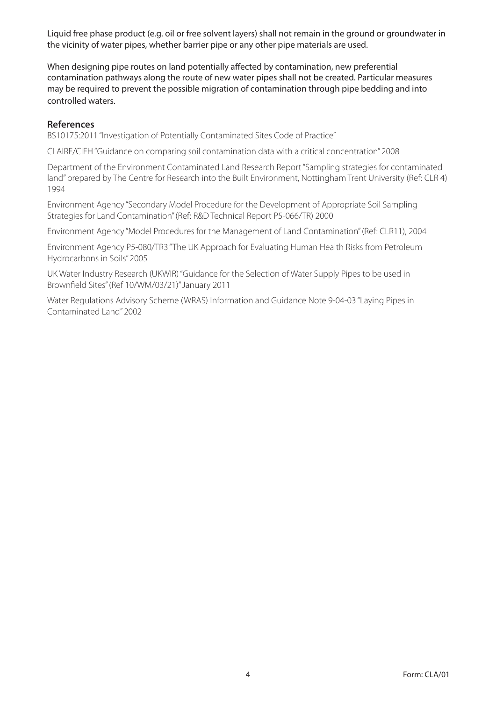Liquid free phase product (e.g. oil or free solvent layers) shall not remain in the ground or groundwater in the vicinity of water pipes, whether barrier pipe or any other pipe materials are used.

When designing pipe routes on land potentially affected by contamination, new preferential contamination pathways along the route of new water pipes shall not be created. Particular measures may be required to prevent the possible migration of contamination through pipe bedding and into controlled waters.

#### **References**

BS10175:2011 "Investigation of Potentially Contaminated Sites Code of Practice"

CLAIRE/CIEH "Guidance on comparing soil contamination data with a critical concentration" 2008

Department of the Environment Contaminated Land Research Report "Sampling strategies for contaminated land" prepared by The Centre for Research into the Built Environment, Nottingham Trent University (Ref: CLR 4) 1994

Environment Agency "Secondary Model Procedure for the Development of Appropriate Soil Sampling Strategies for Land Contamination" (Ref: R&D Technical Report P5-066/TR) 2000

Environment Agency "Model Procedures for the Management of Land Contamination" (Ref: CLR11), 2004

Environment Agency P5-080/TR3 "The UK Approach for Evaluating Human Health Risks from Petroleum Hydrocarbons in Soils" 2005

UK Water Industry Research (UKWIR) "Guidance for the Selection of Water Supply Pipes to be used in Brownfield Sites" (Ref 10/WM/03/21)" January 2011

Water Regulations Advisory Scheme (WRAS) Information and Guidance Note 9-04-03 "Laying Pipes in Contaminated Land" 2002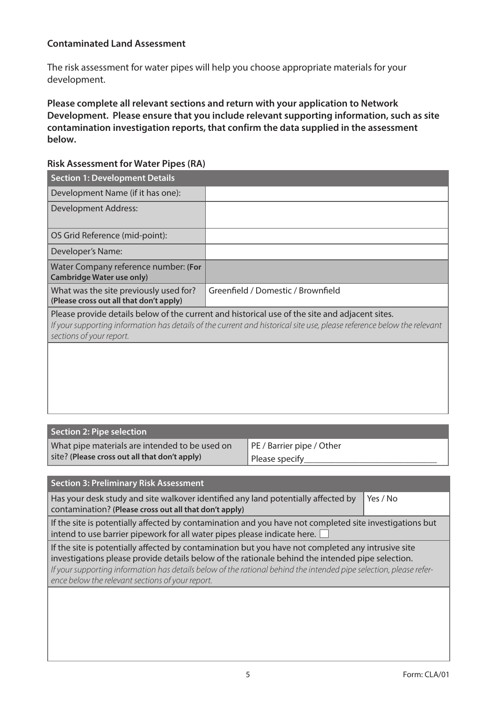#### **Contaminated Land Assessment**

The risk assessment for water pipes will help you choose appropriate materials for your development.

**Please complete all relevant sections and return with your application to Network Development. Please ensure that you include relevant supporting information, such as site contamination investigation reports, that confirm the data supplied in the assessment below.**

#### **Risk Assessment for Water Pipes (RA)**

| <b>Section 1: Development Details</b>                                             |                                                                                                                                                                                                                          |
|-----------------------------------------------------------------------------------|--------------------------------------------------------------------------------------------------------------------------------------------------------------------------------------------------------------------------|
| Development Name (if it has one):                                                 |                                                                                                                                                                                                                          |
| Development Address:                                                              |                                                                                                                                                                                                                          |
| OS Grid Reference (mid-point):                                                    |                                                                                                                                                                                                                          |
| Developer's Name:                                                                 |                                                                                                                                                                                                                          |
| Water Company reference number: (For<br><b>Cambridge Water use only)</b>          |                                                                                                                                                                                                                          |
| What was the site previously used for?<br>(Please cross out all that don't apply) | Greenfield / Domestic / Brownfield                                                                                                                                                                                       |
| sections of your report.                                                          | Please provide details below of the current and historical use of the site and adjacent sites.<br>If your supporting information has details of the current and historical site use, please reference below the relevant |
|                                                                                   |                                                                                                                                                                                                                          |
|                                                                                   |                                                                                                                                                                                                                          |
|                                                                                   |                                                                                                                                                                                                                          |
|                                                                                   |                                                                                                                                                                                                                          |

| Section 2: Pipe selection                      |                           |
|------------------------------------------------|---------------------------|
| What pipe materials are intended to be used on | PE / Barrier pipe / Other |
| site? (Please cross out all that don't apply)  | Please specify            |

| <b>Section 3: Preliminary Risk Assessment</b>                                                                                                                                                                                                                                                                                                                                    |          |
|----------------------------------------------------------------------------------------------------------------------------------------------------------------------------------------------------------------------------------------------------------------------------------------------------------------------------------------------------------------------------------|----------|
| Has your desk study and site walkover identified any land potentially affected by<br>contamination? (Please cross out all that don't apply)                                                                                                                                                                                                                                      | Yes / No |
| If the site is potentially affected by contamination and you have not completed site investigations but<br>intend to use barrier pipework for all water pipes please indicate here.                                                                                                                                                                                              |          |
| If the site is potentially affected by contamination but you have not completed any intrusive site<br>investigations please provide details below of the rationale behind the intended pipe selection.<br>If your supporting information has details below of the rational behind the intended pipe selection, please refer-<br>ence below the relevant sections of your report. |          |
|                                                                                                                                                                                                                                                                                                                                                                                  |          |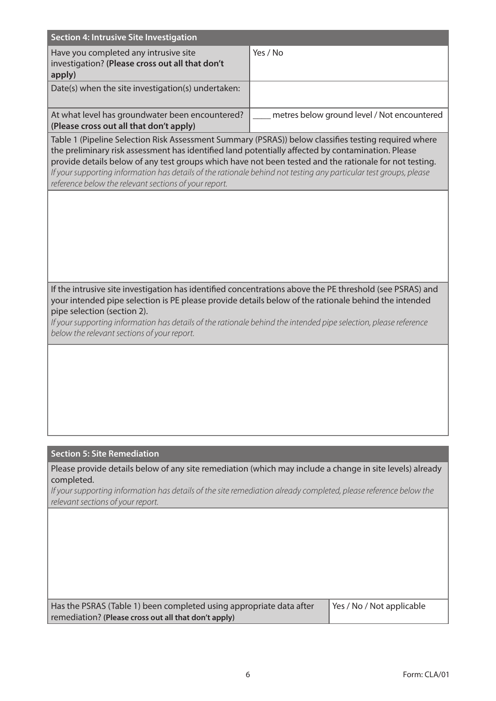| Section 4: Intrusive Site Investigation                                                            |                                             |
|----------------------------------------------------------------------------------------------------|---------------------------------------------|
| Have you completed any intrusive site<br>investigation? (Please cross out all that don't<br>apply) | Yes / No                                    |
| Date(s) when the site investigation(s) undertaken:                                                 |                                             |
| At what level has groundwater been encountered?<br>(Please cross out all that don't apply)         | metres below ground level / Not encountered |

Table 1 (Pipeline Selection Risk Assessment Summary (PSRAS)) below classifies testing required where the preliminary risk assessment has identified land potentially affected by contamination. Please provide details below of any test groups which have not been tested and the rationale for not testing. *If your supporting information has details of the rationale behind not testing any particular test groups, please reference below the relevant sections of your report.*

If the intrusive site investigation has identified concentrations above the PE threshold (see PSRAS) and your intended pipe selection is PE please provide details below of the rationale behind the intended pipe selection (section 2).

*If your supporting information has details of the rationale behind the intended pipe selection, please reference below the relevant sections of your report.*

#### **Section 5: Site Remediation**

Please provide details below of any site remediation (which may include a change in site levels) already completed.

*If your supporting information has details of the site remediation already completed, please reference below the relevant sections of your report.*

| Has the PSRAS (Table 1) been completed using appropriate data after | Yes / No / Not applicable |
|---------------------------------------------------------------------|---------------------------|
| remediation? (Please cross out all that don't apply)                |                           |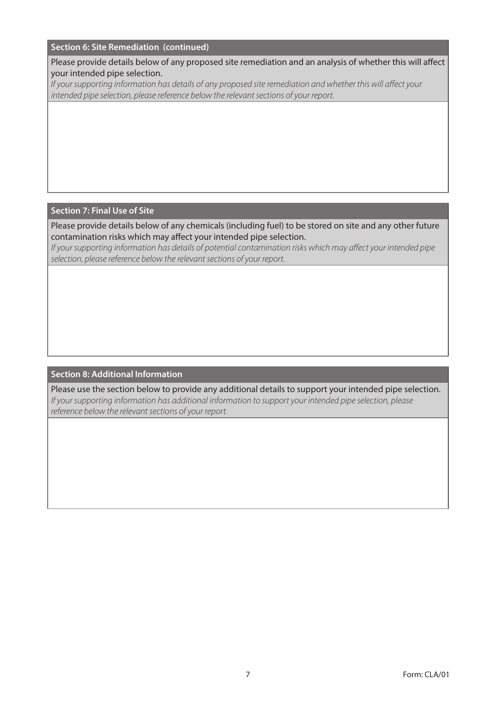#### **Section 6: Site Remediation (continued)**

Please provide details below of any proposed site remediation and an analysis of whether this will affect your intended pipe selection.

*If your supporting information has details of any proposed site remediation and whether this will affect your intended pipe selection, please reference below the relevant sections of your report.*

#### **Section 7: Final Use of Site**

Please provide details below of any chemicals (including fuel) to be stored on site and any other future contamination risks which may affect your intended pipe selection.

*If your supporting information has details of potential contamination risks which may affect your intended pipe selection, please reference below the relevant sections of your report.*

#### **Section 8: Additional Information**

Please use the section below to provide any additional details to support your intended pipe selection. *If your supporting information has additional information to support your intended pipe selection, please reference below the relevant sections of your report.*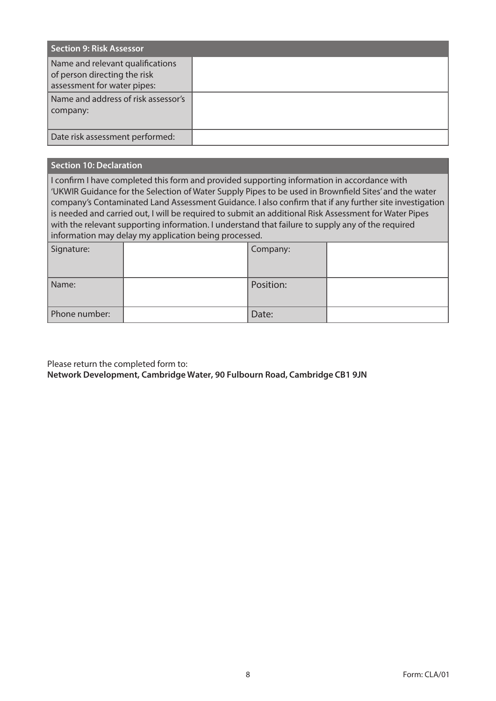| <b>Section 9: Risk Assessor</b>                                                                 |  |
|-------------------------------------------------------------------------------------------------|--|
| Name and relevant qualifications<br>of person directing the risk<br>assessment for water pipes: |  |
| Name and address of risk assessor's<br>  company:                                               |  |
| Date risk assessment performed:                                                                 |  |

#### **Section 10: Declaration**

I confirm I have completed this form and provided supporting information in accordance with 'UKWIR Guidance for the Selection of Water Supply Pipes to be used in Brownfield Sites' and the water company's Contaminated Land Assessment Guidance. I also confirm that if any further site investigation is needed and carried out, I will be required to submit an additional Risk Assessment for Water Pipes with the relevant supporting information. I understand that failure to supply any of the required information may delay my application being processed.

| Signature:    | Company:  |  |
|---------------|-----------|--|
| Name:         | Position: |  |
| Phone number: | Date:     |  |

Please return the completed form to:

**Network Development, Cambridge Water, 90 Fulbourn Road, Cambridge CB1 9JN**